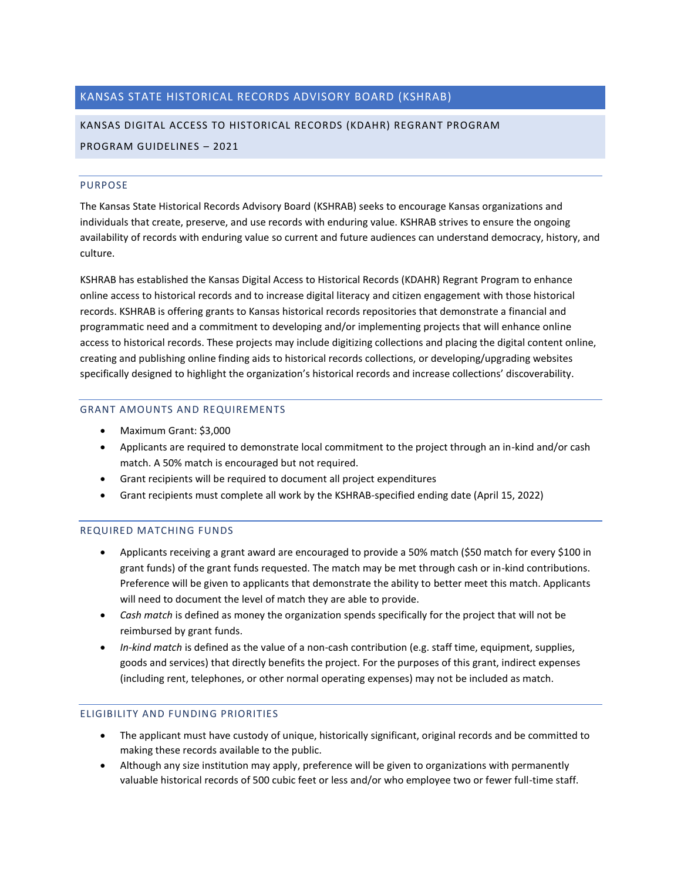# KANSAS STATE HISTORICAL RECORDS ADVISORY BOARD (KSHRAB)

# KANSAS DIGITAL ACCESS TO HISTORICAL RECORDS (KDAHR) REGRANT PROGRAM

# PROGRAM GUIDELINES – 2021

#### PURPOSE

The Kansas State Historical Records Advisory Board (KSHRAB) seeks to encourage Kansas organizations and individuals that create, preserve, and use records with enduring value. KSHRAB strives to ensure the ongoing availability of records with enduring value so current and future audiences can understand democracy, history, and culture.

KSHRAB has established the Kansas Digital Access to Historical Records (KDAHR) Regrant Program to enhance online access to historical records and to increase digital literacy and citizen engagement with those historical records. KSHRAB is offering grants to Kansas historical records repositories that demonstrate a financial and programmatic need and a commitment to developing and/or implementing projects that will enhance online access to historical records. These projects may include digitizing collections and placing the digital content online, creating and publishing online finding aids to historical records collections, or developing/upgrading websites specifically designed to highlight the organization's historical records and increase collections' discoverability.

### GRANT AMOUNTS AND REQUIREMENTS

- Maximum Grant: \$3,000
- Applicants are required to demonstrate local commitment to the project through an in-kind and/or cash match. A 50% match is encouraged but not required.
- Grant recipients will be required to document all project expenditures
- Grant recipients must complete all work by the KSHRAB-specified ending date (April 15, 2022)

# REQUIRED MATCHING FUNDS

- Applicants receiving a grant award are encouraged to provide a 50% match (\$50 match for every \$100 in grant funds) of the grant funds requested. The match may be met through cash or in-kind contributions. Preference will be given to applicants that demonstrate the ability to better meet this match. Applicants will need to document the level of match they are able to provide.
- *Cash match* is defined as money the organization spends specifically for the project that will not be reimbursed by grant funds.
- *In-kind match* is defined as the value of a non-cash contribution (e.g. staff time, equipment, supplies, goods and services) that directly benefits the project. For the purposes of this grant, indirect expenses (including rent, telephones, or other normal operating expenses) may not be included as match.

#### ELIGIBILITY AND FUNDING PRIORITIES

- The applicant must have custody of unique, historically significant, original records and be committed to making these records available to the public.
- Although any size institution may apply, preference will be given to organizations with permanently valuable historical records of 500 cubic feet or less and/or who employee two or fewer full-time staff.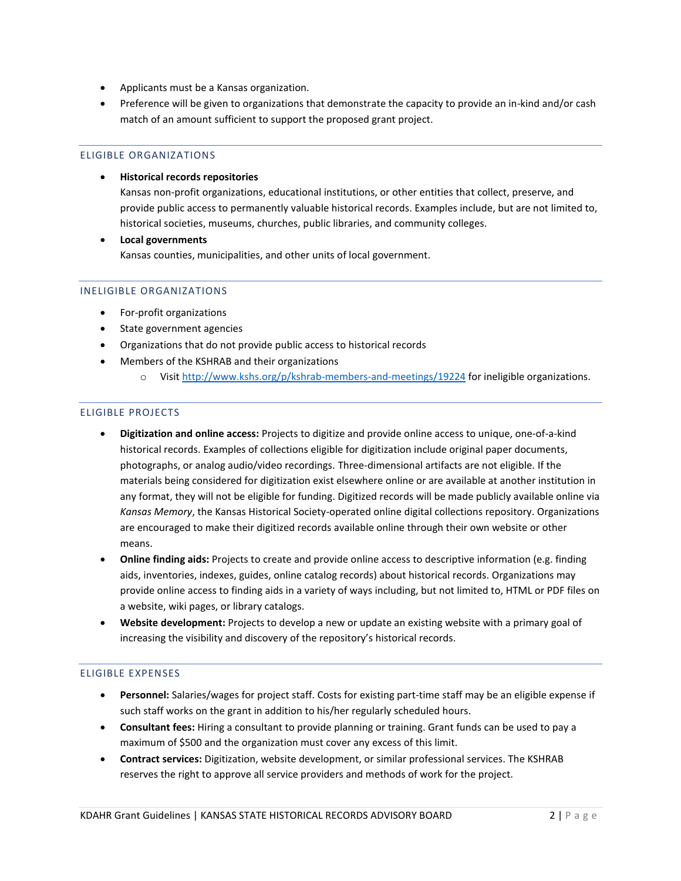- Applicants must be a Kansas organization.
- Preference will be given to organizations that demonstrate the capacity to provide an in-kind and/or cash match of an amount sufficient to support the proposed grant project.

## ELIGIBLE ORGANIZATIONS

# • **Historical records repositories**

Kansas non-profit organizations, educational institutions, or other entities that collect, preserve, and provide public access to permanently valuable historical records. Examples include, but are not limited to, historical societies, museums, churches, public libraries, and community colleges.

• **Local governments** Kansas counties, municipalities, and other units of local government.

### INELIGIBLE ORGANIZATIONS

- For-profit organizations
- State government agencies
- Organizations that do not provide public access to historical records
- Members of the KSHRAB and their organizations
	- o Visit<http://www.kshs.org/p/kshrab-members-and-meetings/19224> for ineligible organizations.

## ELIGIBLE PROJECTS

- **Digitization and online access:** Projects to digitize and provide online access to unique, one-of-a-kind historical records. Examples of collections eligible for digitization include original paper documents, photographs, or analog audio/video recordings. Three-dimensional artifacts are not eligible. If the materials being considered for digitization exist elsewhere online or are available at another institution in any format, they will not be eligible for funding. Digitized records will be made publicly available online via *Kansas Memory*, the Kansas Historical Society-operated online digital collections repository. Organizations are encouraged to make their digitized records available online through their own website or other means.
- **Online finding aids:** Projects to create and provide online access to descriptive information (e.g. finding aids, inventories, indexes, guides, online catalog records) about historical records. Organizations may provide online access to finding aids in a variety of ways including, but not limited to, HTML or PDF files on a website, wiki pages, or library catalogs.
- **Website development:** Projects to develop a new or update an existing website with a primary goal of increasing the visibility and discovery of the repository's historical records.

# ELIGIBLE EXPENSES

- **Personnel:** Salaries/wages for project staff. Costs for existing part-time staff may be an eligible expense if such staff works on the grant in addition to his/her regularly scheduled hours.
- **Consultant fees:** Hiring a consultant to provide planning or training. Grant funds can be used to pay a maximum of \$500 and the organization must cover any excess of this limit.
- **Contract services:** Digitization, website development, or similar professional services. The KSHRAB reserves the right to approve all service providers and methods of work for the project.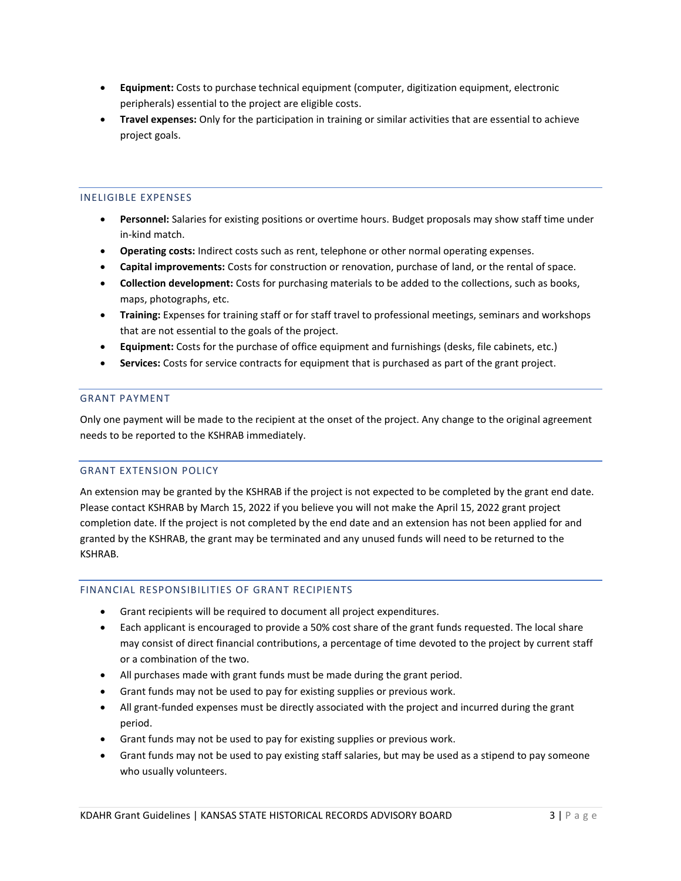- **Equipment:** Costs to purchase technical equipment (computer, digitization equipment, electronic peripherals) essential to the project are eligible costs.
- **Travel expenses:** Only for the participation in training or similar activities that are essential to achieve project goals.

### INELIGIBLE EXPENSES

- **Personnel:** Salaries for existing positions or overtime hours. Budget proposals may show staff time under in-kind match.
- **Operating costs:** Indirect costs such as rent, telephone or other normal operating expenses.
- **Capital improvements:** Costs for construction or renovation, purchase of land, or the rental of space.
- **Collection development:** Costs for purchasing materials to be added to the collections, such as books, maps, photographs, etc.
- **Training:** Expenses for training staff or for staff travel to professional meetings, seminars and workshops that are not essential to the goals of the project.
- **Equipment:** Costs for the purchase of office equipment and furnishings (desks, file cabinets, etc.)
- **Services:** Costs for service contracts for equipment that is purchased as part of the grant project.

### GRANT PAYMENT

Only one payment will be made to the recipient at the onset of the project. Any change to the original agreement needs to be reported to the KSHRAB immediately.

# GRANT EXTENSION POLICY

An extension may be granted by the KSHRAB if the project is not expected to be completed by the grant end date. Please contact KSHRAB by March 15, 2022 if you believe you will not make the April 15, 2022 grant project completion date. If the project is not completed by the end date and an extension has not been applied for and granted by the KSHRAB, the grant may be terminated and any unused funds will need to be returned to the KSHRAB.

#### FINANCIAL RESPONSIBILITIES OF GRANT RECIPIENTS

- Grant recipients will be required to document all project expenditures.
- Each applicant is encouraged to provide a 50% cost share of the grant funds requested. The local share may consist of direct financial contributions, a percentage of time devoted to the project by current staff or a combination of the two.
- All purchases made with grant funds must be made during the grant period.
- Grant funds may not be used to pay for existing supplies or previous work.
- All grant-funded expenses must be directly associated with the project and incurred during the grant period.
- Grant funds may not be used to pay for existing supplies or previous work.
- Grant funds may not be used to pay existing staff salaries, but may be used as a stipend to pay someone who usually volunteers.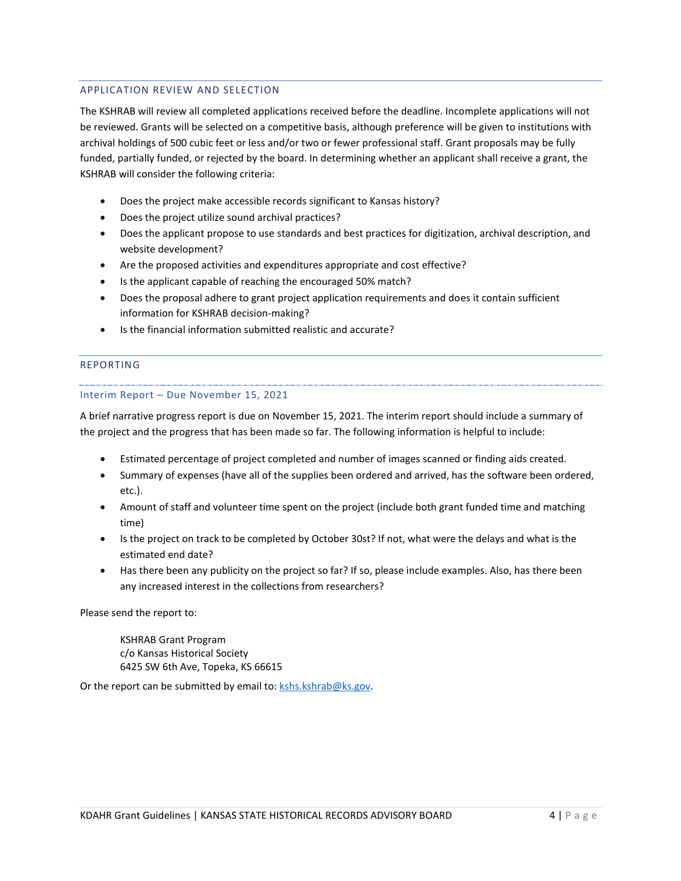### APPLICATION REVIEW AND SELECTION

The KSHRAB will review all completed applications received before the deadline. Incomplete applications will not be reviewed. Grants will be selected on a competitive basis, although preference will be given to institutions with archival holdings of 500 cubic feet or less and/or two or fewer professional staff. Grant proposals may be fully funded, partially funded, or rejected by the board. In determining whether an applicant shall receive a grant, the KSHRAB will consider the following criteria:

- Does the project make accessible records significant to Kansas history?
- Does the project utilize sound archival practices?
- Does the applicant propose to use standards and best practices for digitization, archival description, and website development?
- Are the proposed activities and expenditures appropriate and cost effective?
- Is the applicant capable of reaching the encouraged 50% match?
- Does the proposal adhere to grant project application requirements and does it contain sufficient information for KSHRAB decision-making?
- Is the financial information submitted realistic and accurate?

# REPORTING

### Interim Report – Due November 15, 2021

A brief narrative progress report is due on November 15, 2021. The interim report should include a summary of the project and the progress that has been made so far. The following information is helpful to include:

- Estimated percentage of project completed and number of images scanned or finding aids created.
- Summary of expenses (have all of the supplies been ordered and arrived, has the software been ordered, etc.).
- Amount of staff and volunteer time spent on the project (include both grant funded time and matching time)
- Is the project on track to be completed by October 30st? If not, what were the delays and what is the estimated end date?
- Has there been any publicity on the project so far? If so, please include examples. Also, has there been any increased interest in the collections from researchers?

Please send the report to:

KSHRAB Grant Program c/o Kansas Historical Society 6425 SW 6th Ave, Topeka, KS 66615

Or the report can be submitted by email to[: kshs.kshrab@ks.gov.](mailto:kshs.kshrab@ks.gov)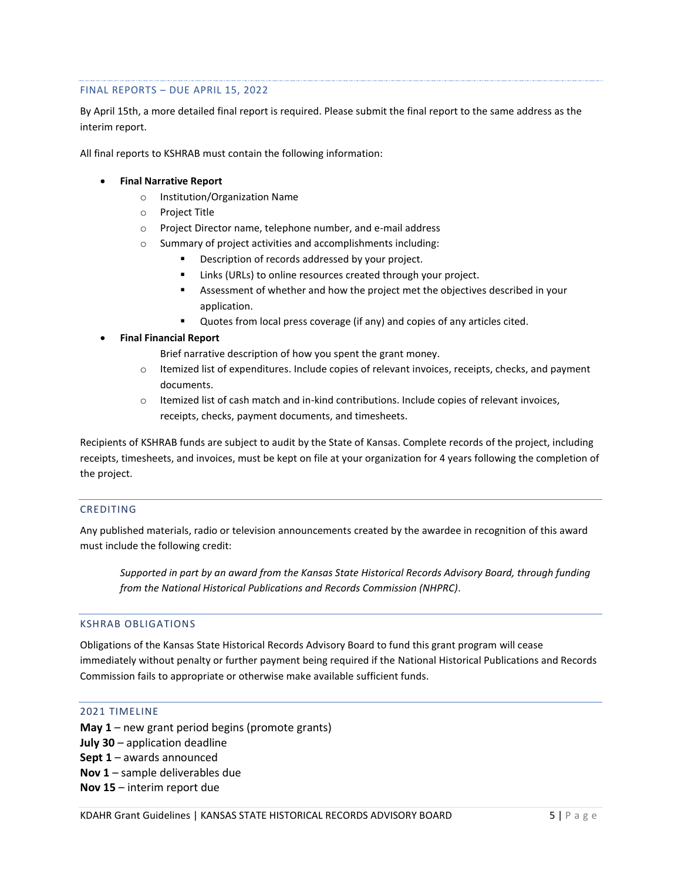#### FINAL REPORTS – DUE APRIL 15, 2022

By April 15th, a more detailed final report is required. Please submit the final report to the same address as the interim report.

All final reports to KSHRAB must contain the following information:

- **Final Narrative Report**
	- o Institution/Organization Name
	- o Project Title
	- o Project Director name, telephone number, and e-mail address
	- o Summary of project activities and accomplishments including:
		- Description of records addressed by your project.
		- Links (URLs) to online resources created through your project.
		- **EXECT** Assessment of whether and how the project met the objectives described in your application.
		- Quotes from local press coverage (if any) and copies of any articles cited.

### • **Final Financial Report**

Brief narrative description of how you spent the grant money.

- $\circ$  Itemized list of expenditures. Include copies of relevant invoices, receipts, checks, and payment documents.
- o Itemized list of cash match and in-kind contributions. Include copies of relevant invoices, receipts, checks, payment documents, and timesheets.

Recipients of KSHRAB funds are subject to audit by the State of Kansas. Complete records of the project, including receipts, timesheets, and invoices, must be kept on file at your organization for 4 years following the completion of the project.

#### CREDITING

Any published materials, radio or television announcements created by the awardee in recognition of this award must include the following credit:

*Supported in part by an award from the Kansas State Historical Records Advisory Board, through funding from the National Historical Publications and Records Commission (NHPRC)*.

# KSHRAB OBLIGATIONS

Obligations of the Kansas State Historical Records Advisory Board to fund this grant program will cease immediately without penalty or further payment being required if the National Historical Publications and Records Commission fails to appropriate or otherwise make available sufficient funds.

#### 2021 TIMELINE

**May 1** – new grant period begins (promote grants) **July 30** – application deadline **Sept 1** – awards announced **Nov 1** – sample deliverables due **Nov 15** – interim report due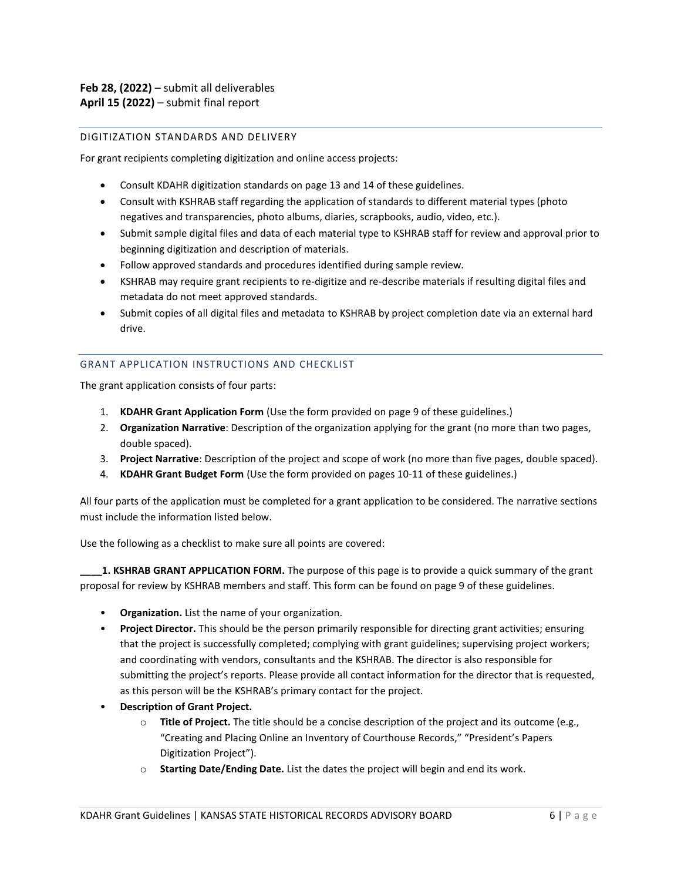### DIGITIZATION STANDARDS AND DELIVERY

For grant recipients completing digitization and online access projects:

- Consult KDAHR digitization standards on page 13 and 14 of these guidelines.
- Consult with KSHRAB staff regarding the application of standards to different material types (photo negatives and transparencies, photo albums, diaries, scrapbooks, audio, video, etc.).
- Submit sample digital files and data of each material type to KSHRAB staff for review and approval prior to beginning digitization and description of materials.
- Follow approved standards and procedures identified during sample review.
- KSHRAB may require grant recipients to re-digitize and re-describe materials if resulting digital files and metadata do not meet approved standards.
- Submit copies of all digital files and metadata to KSHRAB by project completion date via an external hard drive.

### GRANT APPLICATION INSTRUCTIONS AND CHECKLIST

The grant application consists of four parts:

- 1. **KDAHR Grant Application Form** (Use the form provided on page 9 of these guidelines.)
- 2. **Organization Narrative**: Description of the organization applying for the grant (no more than two pages, double spaced).
- 3. **Project Narrative**: Description of the project and scope of work (no more than five pages, double spaced).
- 4. **KDAHR Grant Budget Form** (Use the form provided on pages 10-11 of these guidelines.)

All four parts of the application must be completed for a grant application to be considered. The narrative sections must include the information listed below.

Use the following as a checklist to make sure all points are covered:

**\_\_\_\_1. KSHRAB GRANT APPLICATION FORM.** The purpose of this page is to provide a quick summary of the grant proposal for review by KSHRAB members and staff. This form can be found on page 9 of these guidelines.

- **Organization.** List the name of your organization.
- **Project Director.** This should be the person primarily responsible for directing grant activities; ensuring that the project is successfully completed; complying with grant guidelines; supervising project workers; and coordinating with vendors, consultants and the KSHRAB. The director is also responsible for submitting the project's reports. Please provide all contact information for the director that is requested, as this person will be the KSHRAB's primary contact for the project.
- **Description of Grant Project.**
	- o **Title of Project.** The title should be a concise description of the project and its outcome (e.g., "Creating and Placing Online an Inventory of Courthouse Records," "President's Papers Digitization Project").
	- o **Starting Date/Ending Date.** List the dates the project will begin and end its work.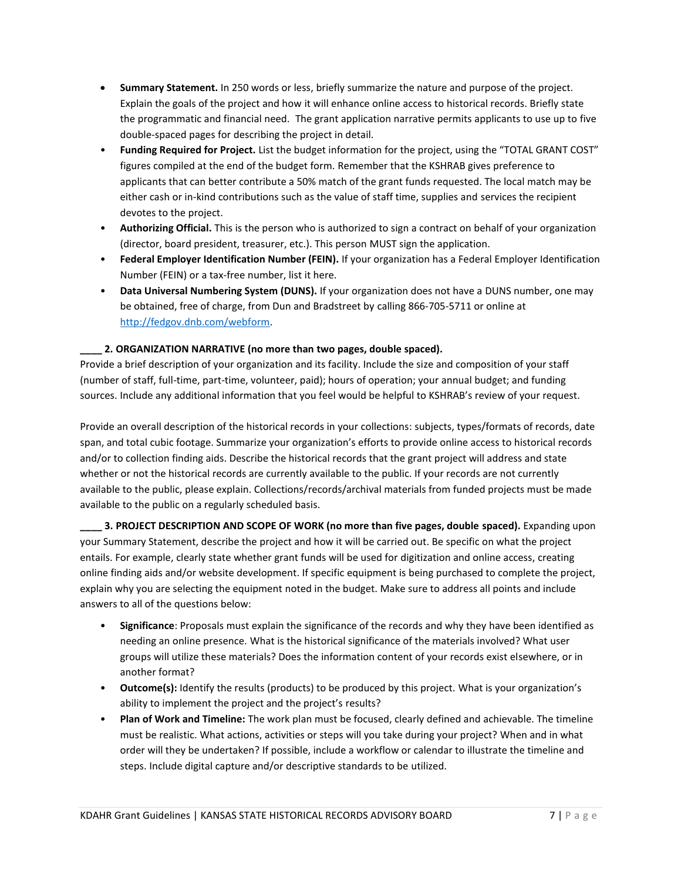- **Summary Statement.** In 250 words or less, briefly summarize the nature and purpose of the project. Explain the goals of the project and how it will enhance online access to historical records. Briefly state the programmatic and financial need. The grant application narrative permits applicants to use up to five double-spaced pages for describing the project in detail.
- **Funding Required for Project.** List the budget information for the project, using the "TOTAL GRANT COST" figures compiled at the end of the budget form. Remember that the KSHRAB gives preference to applicants that can better contribute a 50% match of the grant funds requested. The local match may be either cash or in-kind contributions such as the value of staff time, supplies and services the recipient devotes to the project.
- **Authorizing Official.** This is the person who is authorized to sign a contract on behalf of your organization (director, board president, treasurer, etc.). This person MUST sign the application.
- **Federal Employer Identification Number (FEIN).** If your organization has a Federal Employer Identification Number (FEIN) or a tax-free number, list it here.
- **Data Universal Numbering System (DUNS).** If your organization does not have a DUNS number, one may be obtained, free of charge, from Dun and Bradstreet by calling 866-705-5711 or online at [http://fedgov.dnb.com/webform.](http://fedgov.dnb.com/webform)

# **\_\_\_\_ 2. ORGANIZATION NARRATIVE (no more than two pages, double spaced).**

Provide a brief description of your organization and its facility. Include the size and composition of your staff (number of staff, full-time, part-time, volunteer, paid); hours of operation; your annual budget; and funding sources. Include any additional information that you feel would be helpful to KSHRAB's review of your request.

Provide an overall description of the historical records in your collections: subjects, types/formats of records, date span, and total cubic footage. Summarize your organization's efforts to provide online access to historical records and/or to collection finding aids. Describe the historical records that the grant project will address and state whether or not the historical records are currently available to the public. If your records are not currently available to the public, please explain. Collections/records/archival materials from funded projects must be made available to the public on a regularly scheduled basis.

**\_\_\_\_ 3. PROJECT DESCRIPTION AND SCOPE OF WORK (no more than five pages, double spaced).** Expanding upon your Summary Statement, describe the project and how it will be carried out. Be specific on what the project entails. For example, clearly state whether grant funds will be used for digitization and online access, creating online finding aids and/or website development. If specific equipment is being purchased to complete the project, explain why you are selecting the equipment noted in the budget. Make sure to address all points and include answers to all of the questions below:

- **Significance**: Proposals must explain the significance of the records and why they have been identified as needing an online presence. What is the historical significance of the materials involved? What user groups will utilize these materials? Does the information content of your records exist elsewhere, or in another format?
- **Outcome(s):** Identify the results (products) to be produced by this project. What is your organization's ability to implement the project and the project's results?
- **Plan of Work and Timeline:** The work plan must be focused, clearly defined and achievable. The timeline must be realistic. What actions, activities or steps will you take during your project? When and in what order will they be undertaken? If possible, include a workflow or calendar to illustrate the timeline and steps. Include digital capture and/or descriptive standards to be utilized.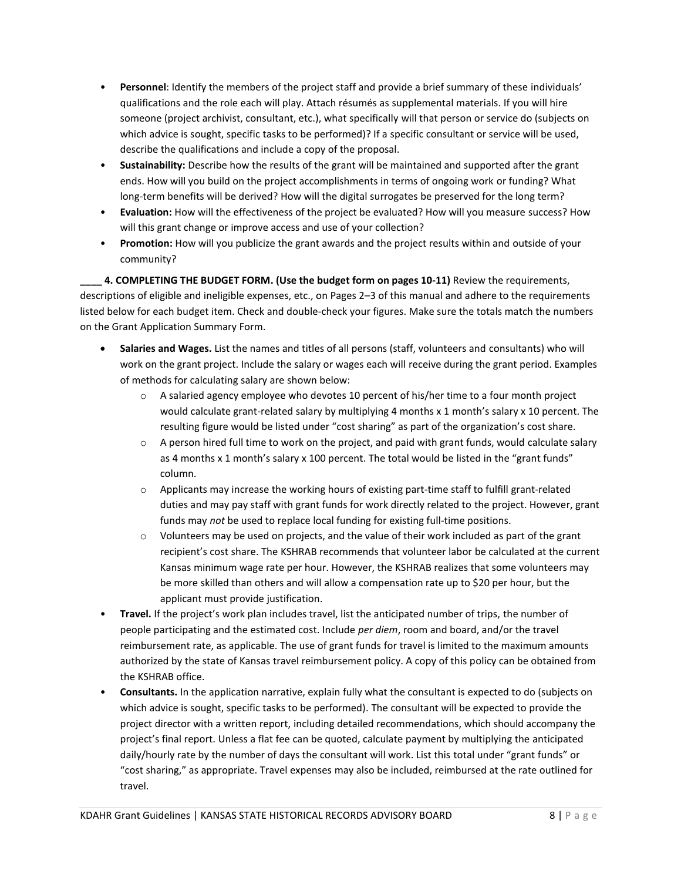- **Personnel**: Identify the members of the project staff and provide a brief summary of these individuals' qualifications and the role each will play. Attach résumés as supplemental materials. If you will hire someone (project archivist, consultant, etc.), what specifically will that person or service do (subjects on which advice is sought, specific tasks to be performed)? If a specific consultant or service will be used, describe the qualifications and include a copy of the proposal.
- **Sustainability:** Describe how the results of the grant will be maintained and supported after the grant ends. How will you build on the project accomplishments in terms of ongoing work or funding? What long-term benefits will be derived? How will the digital surrogates be preserved for the long term?
- **Evaluation:** How will the effectiveness of the project be evaluated? How will you measure success? How will this grant change or improve access and use of your collection?
- **Promotion:** How will you publicize the grant awards and the project results within and outside of your community?

**\_\_\_\_ 4. COMPLETING THE BUDGET FORM. (Use the budget form on pages 10-11)** Review the requirements, descriptions of eligible and ineligible expenses, etc., on Pages 2–3 of this manual and adhere to the requirements listed below for each budget item. Check and double-check your figures. Make sure the totals match the numbers on the Grant Application Summary Form.

- **Salaries and Wages.** List the names and titles of all persons (staff, volunteers and consultants) who will work on the grant project. Include the salary or wages each will receive during the grant period. Examples of methods for calculating salary are shown below:
	- o A salaried agency employee who devotes 10 percent of his/her time to a four month project would calculate grant-related salary by multiplying 4 months x 1 month's salary x 10 percent. The resulting figure would be listed under "cost sharing" as part of the organization's cost share.
	- $\circ$  A person hired full time to work on the project, and paid with grant funds, would calculate salary as 4 months x 1 month's salary x 100 percent. The total would be listed in the "grant funds" column.
	- o Applicants may increase the working hours of existing part-time staff to fulfill grant-related duties and may pay staff with grant funds for work directly related to the project. However, grant funds may *not* be used to replace local funding for existing full-time positions.
	- o Volunteers may be used on projects, and the value of their work included as part of the grant recipient's cost share. The KSHRAB recommends that volunteer labor be calculated at the current Kansas minimum wage rate per hour. However, the KSHRAB realizes that some volunteers may be more skilled than others and will allow a compensation rate up to \$20 per hour, but the applicant must provide justification.
- **Travel.** If the project's work plan includes travel, list the anticipated number of trips, the number of people participating and the estimated cost. Include *per diem*, room and board, and/or the travel reimbursement rate, as applicable. The use of grant funds for travel is limited to the maximum amounts authorized by the state of Kansas travel reimbursement policy. A copy of this policy can be obtained from the KSHRAB office.
- **Consultants.** In the application narrative, explain fully what the consultant is expected to do (subjects on which advice is sought, specific tasks to be performed). The consultant will be expected to provide the project director with a written report, including detailed recommendations, which should accompany the project's final report. Unless a flat fee can be quoted, calculate payment by multiplying the anticipated daily/hourly rate by the number of days the consultant will work. List this total under "grant funds" or "cost sharing," as appropriate. Travel expenses may also be included, reimbursed at the rate outlined for travel.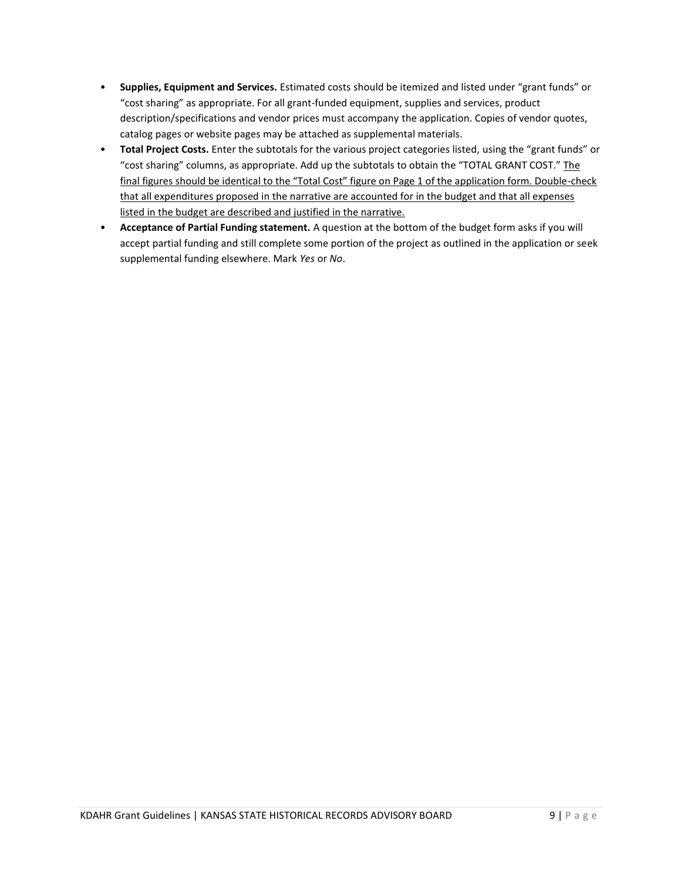- **Supplies, Equipment and Services.** Estimated costs should be itemized and listed under "grant funds" or "cost sharing" as appropriate. For all grant-funded equipment, supplies and services, product description/specifications and vendor prices must accompany the application. Copies of vendor quotes, catalog pages or website pages may be attached as supplemental materials.
- **Total Project Costs.** Enter the subtotals for the various project categories listed, using the "grant funds" or "cost sharing" columns, as appropriate. Add up the subtotals to obtain the "TOTAL GRANT COST." The final figures should be identical to the "Total Cost" figure on Page 1 of the application form. Double-check that all expenditures proposed in the narrative are accounted for in the budget and that all expenses listed in the budget are described and justified in the narrative.
- **Acceptance of Partial Funding statement.** A question at the bottom of the budget form asks if you will accept partial funding and still complete some portion of the project as outlined in the application or seek supplemental funding elsewhere. Mark *Yes* or *No*.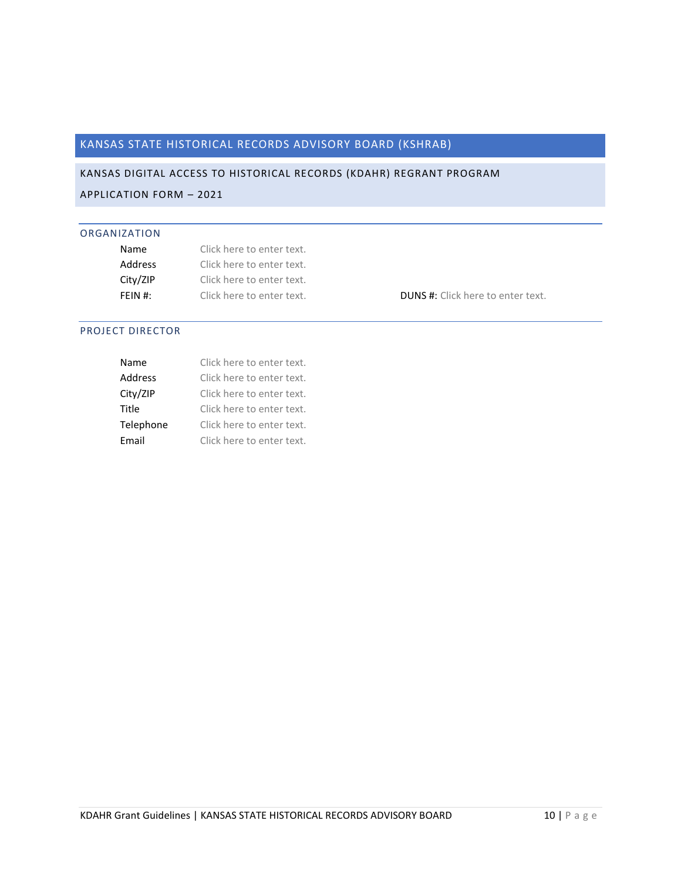# KANSAS STATE HISTORICAL RECORDS ADVISORY BOARD (KSHRAB)

KANSAS DIGITAL ACCESS TO HISTORICAL RECORDS (KDAHR) REGRANT PROGRAM

APPLICATION FORM – 2021

# ORGANIZATION

| Name     | Click here to enter text. |                                          |
|----------|---------------------------|------------------------------------------|
| Address  | Click here to enter text. |                                          |
| City/ZIP | Click here to enter text. |                                          |
| FFIN #:  | Click here to enter text. | <b>DUNS</b> #: Click here to enter text. |

# PROJECT DIRECTOR

| Name      | Click here to enter text. |
|-----------|---------------------------|
| Address   | Click here to enter text. |
| City/ZIP  | Click here to enter text. |
| Title     | Click here to enter text. |
| Telephone | Click here to enter text. |
| Email     | Click here to enter text. |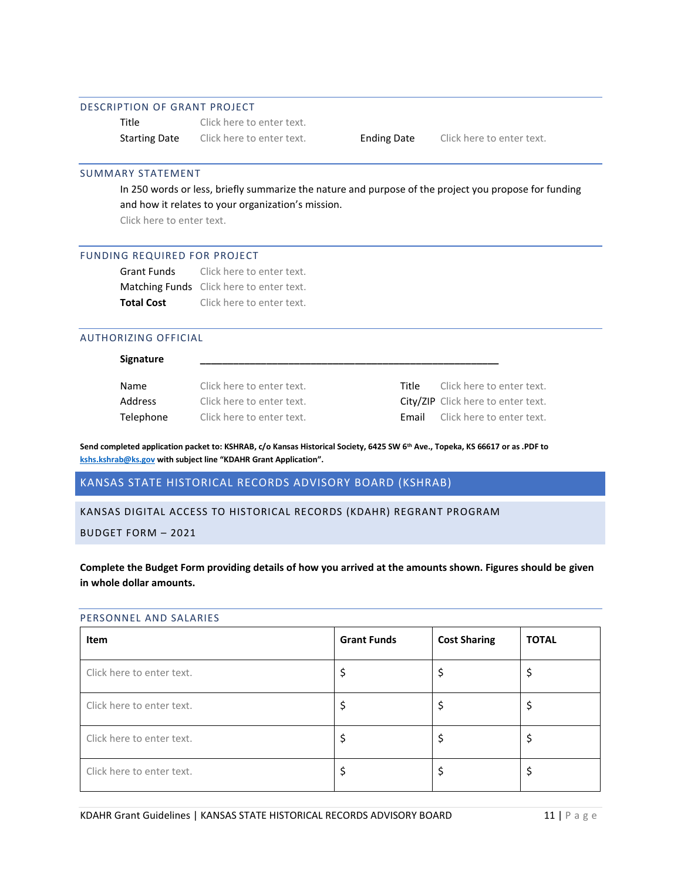#### DESCRIPTION OF GRANT PROJECT

Title Click here to enter text. Starting Date Click here to enter text. Ending Date Click here to enter text.

#### SUMMARY STATEMENT

In 250 words or less, briefly summarize the nature and purpose of the project you propose for funding and how it relates to your organization's mission.

Click here to enter text.

# FUNDING REQUIRED FOR PROJECT

| <b>Grant Funds</b> | Click here to enter text.                |
|--------------------|------------------------------------------|
|                    | Matching Funds Click here to enter text. |
| <b>Total Cost</b>  | Click here to enter text.                |

# AUTHORIZING OFFICIAL

#### **Signature \_\_\_\_\_\_\_\_\_\_\_\_\_\_\_\_\_\_\_\_\_\_\_\_\_\_\_\_\_\_\_\_\_\_\_\_\_\_\_\_\_\_\_\_\_\_\_\_\_\_\_\_\_\_**

| Name      | Click here to enter text. | Title | Click here to enter text.          |
|-----------|---------------------------|-------|------------------------------------|
| Address   | Click here to enter text. |       | City/ZIP Click here to enter text. |
| Telephone | Click here to enter text. | Fmail | Click here to enter text.          |

| Title | Click here to enter text.              |
|-------|----------------------------------------|
|       | City/ZIP Click here to enter text.     |
|       | <b>Email</b> Click here to enter text. |

**Send completed application packet to: KSHRAB, c/o Kansas Historical Society, 6425 SW 6th Ave., Topeka, KS 66617 or as .PDF to [kshs.kshrab@ks.gov](mailto:kshs.kshrab@ks.gov) with subject line "KDAHR Grant Application".**

# KANSAS STATE HISTORICAL RECORDS ADVISORY BOARD (KSHRAB)

#### KANSAS DIGITAL ACCESS TO HISTORICAL RECORDS (KDAHR) REGRANT PROGRAM

BUDGET FORM – 2021

**Complete the Budget Form providing details of how you arrived at the amounts shown. Figures should be given in whole dollar amounts.**

#### PERSONNEL AND SALARIES

| Item                      | <b>Grant Funds</b> | <b>Cost Sharing</b> | <b>TOTAL</b> |
|---------------------------|--------------------|---------------------|--------------|
| Click here to enter text. |                    |                     |              |
| Click here to enter text. |                    |                     |              |
| Click here to enter text. |                    |                     |              |
| Click here to enter text. |                    |                     |              |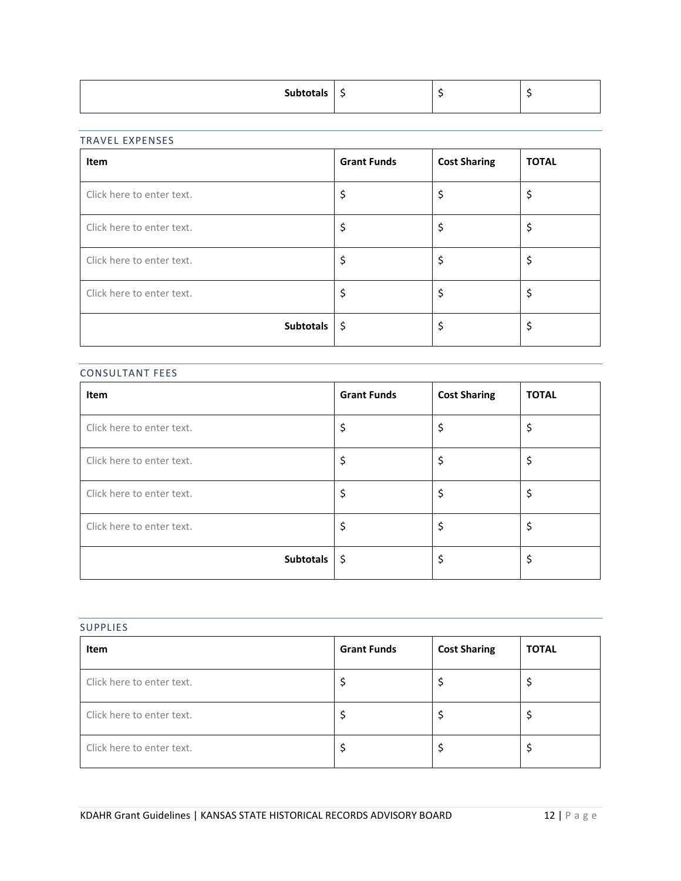| <b>Sub</b> u |  |  |  |
|--------------|--|--|--|
|--------------|--|--|--|

# TRAVEL EXPENSES

| Item                      | <b>Grant Funds</b> | <b>Cost Sharing</b> | <b>TOTAL</b> |
|---------------------------|--------------------|---------------------|--------------|
| Click here to enter text. | \$                 | \$                  | \$           |
| Click here to enter text. | \$                 | \$                  | \$           |
| Click here to enter text. | \$                 | \$                  | \$           |
| Click here to enter text. | \$                 | \$                  | \$           |
| <b>Subtotals</b>          | -\$                | \$                  | \$           |

# CONSULTANT FEES

| Item                      | <b>Grant Funds</b> | <b>Cost Sharing</b> | <b>TOTAL</b> |
|---------------------------|--------------------|---------------------|--------------|
| Click here to enter text. | \$                 | \$                  |              |
| Click here to enter text. | \$                 | Ś                   | \$           |
| Click here to enter text. |                    |                     |              |
| Click here to enter text. |                    |                     | Ş            |
| Subtotals                 | -\$                | \$                  |              |

| <b>SUPPLIES</b>           |                    |                     |              |  |  |
|---------------------------|--------------------|---------------------|--------------|--|--|
| Item                      | <b>Grant Funds</b> | <b>Cost Sharing</b> | <b>TOTAL</b> |  |  |
| Click here to enter text. |                    |                     |              |  |  |
| Click here to enter text. |                    |                     |              |  |  |
| Click here to enter text. |                    |                     |              |  |  |

KDAHR Grant Guidelines | KANSAS STATE HISTORICAL RECORDS ADVISORY BOARD 12 | P a g e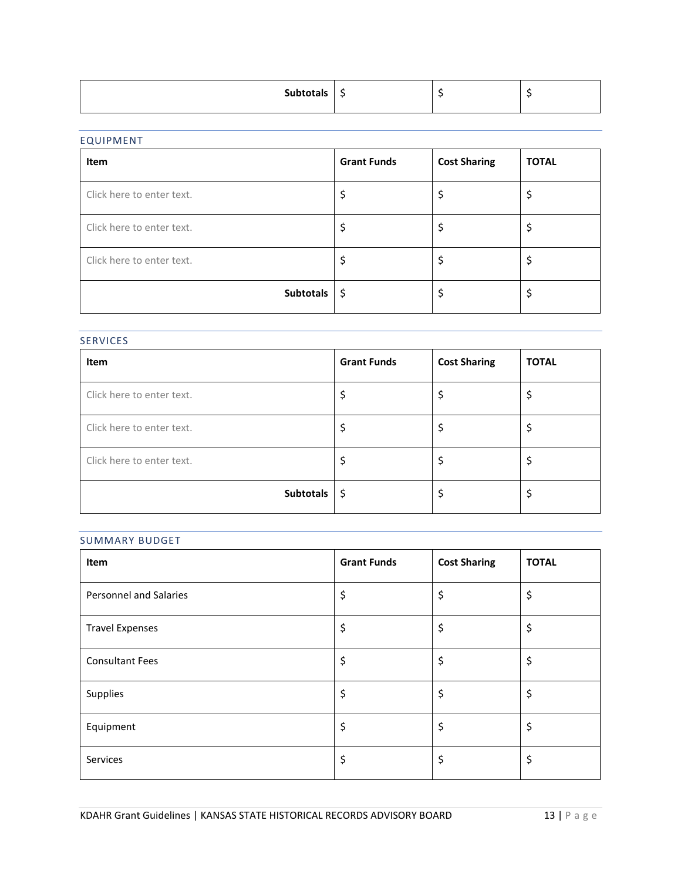| <b>Subtotals</b> |  |  |  |
|------------------|--|--|--|
|------------------|--|--|--|

# EQUIPMENT

| Item                      | <b>Grant Funds</b> | <b>Cost Sharing</b> | <b>TOTAL</b> |
|---------------------------|--------------------|---------------------|--------------|
| Click here to enter text. |                    |                     | Ş            |
| Click here to enter text. |                    |                     | Ş            |
| Click here to enter text. |                    |                     | \$           |
| <b>Subtotals</b>          | ∣\$                |                     | Ş            |

### SERVICES

| Item                      | <b>Grant Funds</b> | <b>Cost Sharing</b> | <b>TOTAL</b> |
|---------------------------|--------------------|---------------------|--------------|
| Click here to enter text. |                    |                     |              |
| Click here to enter text. |                    |                     |              |
| Click here to enter text. |                    |                     |              |
| Subtotals                 | - \$               |                     |              |

# SUMMARY BUDGET

| Item                          | <b>Grant Funds</b> | <b>Cost Sharing</b> | <b>TOTAL</b> |
|-------------------------------|--------------------|---------------------|--------------|
| <b>Personnel and Salaries</b> | \$                 | \$                  | \$           |
| <b>Travel Expenses</b>        | \$                 | \$                  | \$           |
| <b>Consultant Fees</b>        | \$                 | \$                  | \$           |
| Supplies                      | \$                 | \$                  | \$           |
| Equipment                     | \$                 | \$                  | \$           |
| Services                      | \$                 | \$                  | \$           |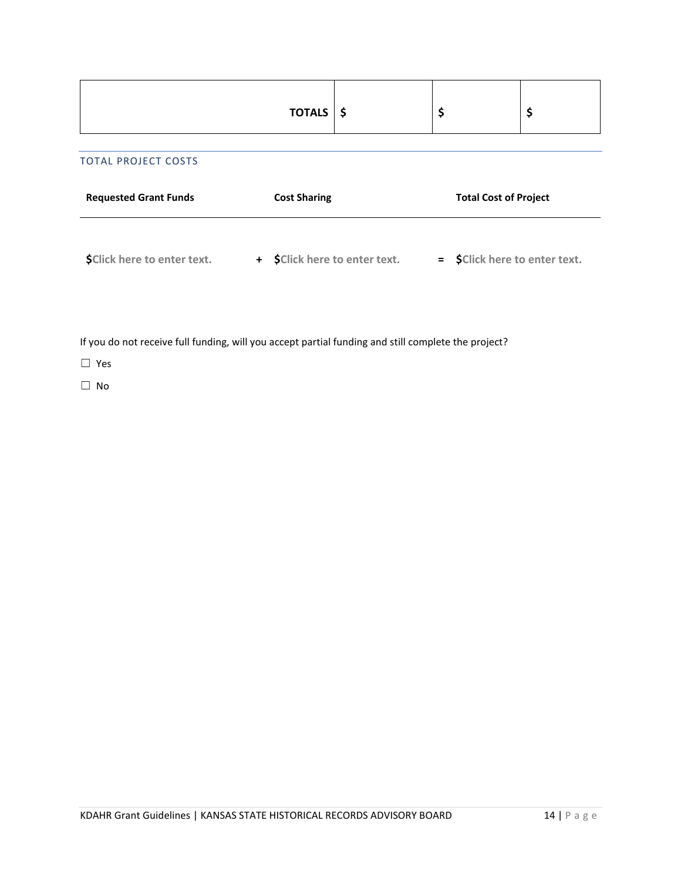|                                    | <b>TOTALS</b><br>-Ş           | \$<br>\$                      |  |
|------------------------------------|-------------------------------|-------------------------------|--|
| <b>TOTAL PROJECT COSTS</b>         |                               |                               |  |
| <b>Requested Grant Funds</b>       | <b>Cost Sharing</b>           | <b>Total Cost of Project</b>  |  |
| <b>\$Click here to enter text.</b> | + \$Click here to enter text. | = \$Click here to enter text. |  |

If you do not receive full funding, will you accept partial funding and still complete the project?

☐ Yes

☐ No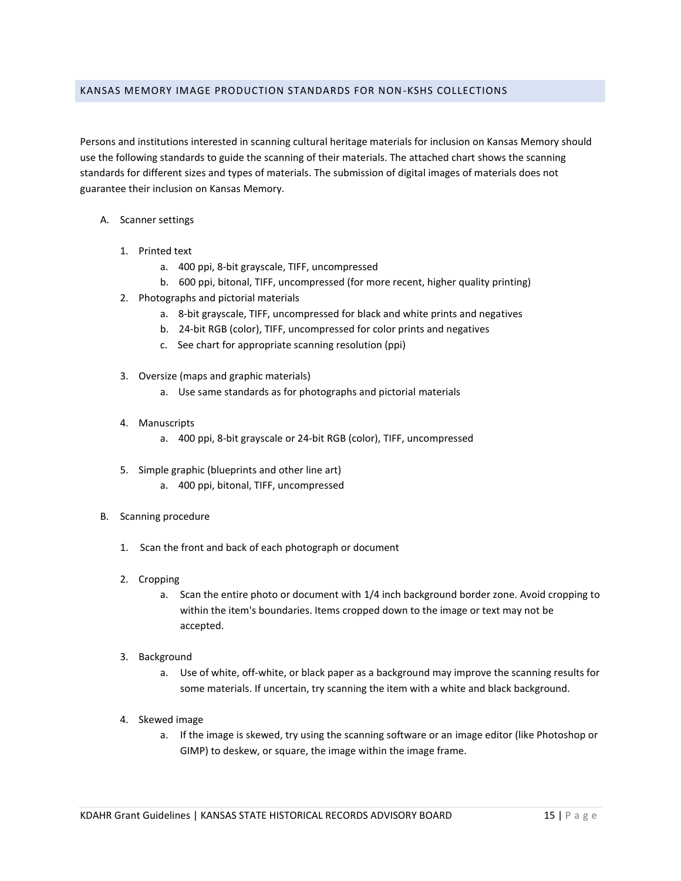# KANSAS MEMORY IMAGE PRODUCTION STANDARDS FOR NON-KSHS COLLECTIONS

Persons and institutions interested in scanning cultural heritage materials for inclusion on Kansas Memory should use the following standards to guide the scanning of their materials. The attached chart shows the scanning standards for different sizes and types of materials. The submission of digital images of materials does not guarantee their inclusion on Kansas Memory.

- A. Scanner settings
	- 1. Printed text
		- a. 400 ppi, 8-bit grayscale, TIFF, uncompressed
		- b. 600 ppi, bitonal, TIFF, uncompressed (for more recent, higher quality printing)
	- 2. Photographs and pictorial materials
		- a. 8-bit grayscale, TIFF, uncompressed for black and white prints and negatives
		- b. 24-bit RGB (color), TIFF, uncompressed for color prints and negatives
		- c. See chart for appropriate scanning resolution (ppi)
	- 3. Oversize (maps and graphic materials)
		- a. Use same standards as for photographs and pictorial materials
	- 4. Manuscripts
		- a. 400 ppi, 8-bit grayscale or 24-bit RGB (color), TIFF, uncompressed
	- 5. Simple graphic (blueprints and other line art)
		- a. 400 ppi, bitonal, TIFF, uncompressed
- B. Scanning procedure
	- 1. Scan the front and back of each photograph or document
	- 2. Cropping
		- a. Scan the entire photo or document with 1/4 inch background border zone. Avoid cropping to within the item's boundaries. Items cropped down to the image or text may not be accepted.
	- 3. Background
		- a. Use of white, off-white, or black paper as a background may improve the scanning results for some materials. If uncertain, try scanning the item with a white and black background.
	- 4. Skewed image
		- a. If the image is skewed, try using the scanning software or an image editor (like Photoshop or GIMP) to deskew, or square, the image within the image frame.